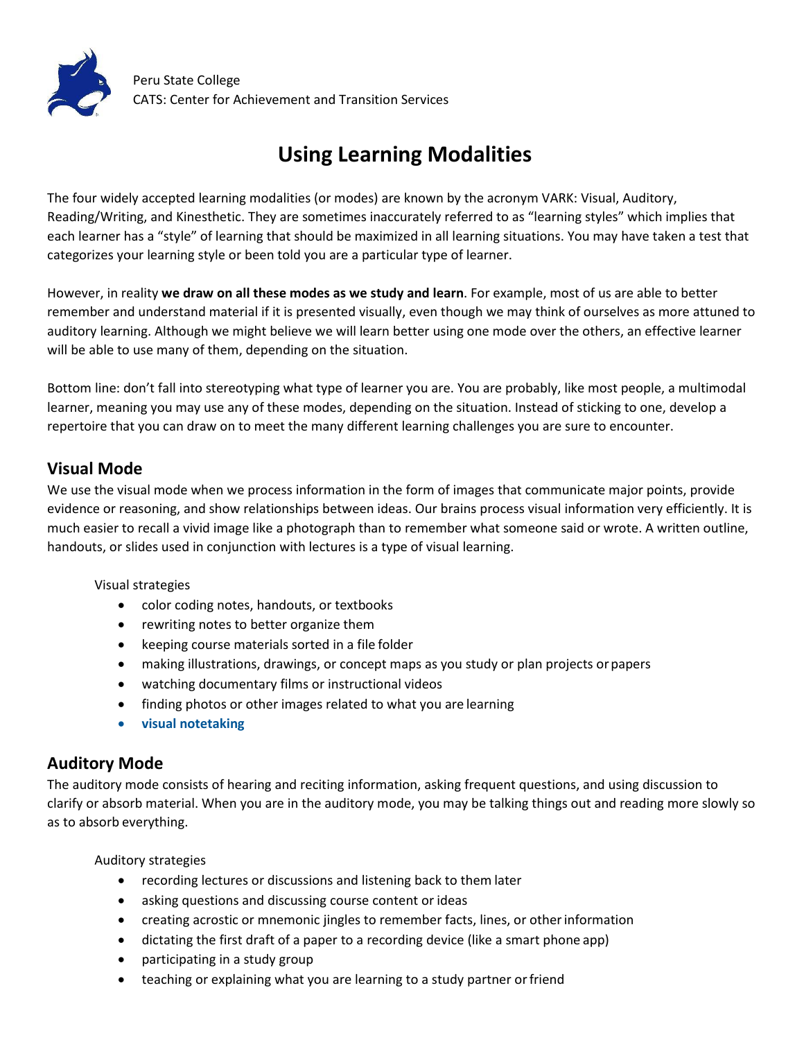

# **Using Learning Modalities**

The four widely accepted learning modalities (or modes) are known by the acronym VARK: Visual, Auditory, Reading/Writing, and Kinesthetic. They are sometimes inaccurately referred to as "learning styles" which implies that each learner has a "style" of learning that should be maximized in all learning situations. You may have taken a test that categorizes your learning style or been told you are a particular type of learner.

However, in reality **we draw on all these modes as we study and learn**. For example, most of us are able to better remember and understand material if it is presented visually, even though we may think of ourselves as more attuned to auditory learning. Although we might believe we will learn better using one mode over the others, an effective learner will be able to use many of them, depending on the situation.

Bottom line: don't fall into stereotyping what type of learner you are. You are probably, like most people, a multimodal learner, meaning you may use any of these modes, depending on the situation. Instead of sticking to one, develop a repertoire that you can draw on to meet the many different learning challenges you are sure to encounter.

#### **Visual Mode**

We use the visual mode when we process information in the form of images that communicate major points, provide evidence or reasoning, and show relationships between ideas. Our brains process visual information very efficiently. It is much easier to recall a vivid image like a photograph than to remember what someone said or wrote. A written outline, handouts, or slides used in conjunction with lectures is a type of visual learning.

#### Visual strategies

- · color coding notes, handouts, or textbooks
- · rewriting notes to better organize them
- · keeping course materials sorted in a file folder
- · making illustrations, drawings, or concept maps as you study or plan projects orpapers
- · watching documentary films or instructional videos
- · finding photos or other images related to what you are learning
- · **visual [notetaking](https://www.youtube.com/watch?v=eZQ7ILUAsek)**

#### **Auditory Mode**

The auditory mode consists of hearing and reciting information, asking frequent questions, and using discussion to clarify or absorb material. When you are in the auditory mode, you may be talking things out and reading more slowly so as to absorb everything.

Auditory strategies

- · recording lectures or discussions and listening back to them later
- · asking questions and discussing course content or ideas
- · creating acrostic or mnemonic jingles to remember facts, lines, or otherinformation
- · dictating the first draft of a paper to a recording device (like a smart phone app)
- · participating in a study group
- teaching or explaining what you are learning to a study partner or friend